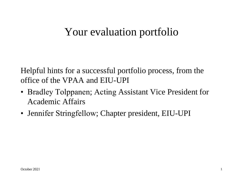# Your evaluation portfolio

Helpful hints for a successful portfolio process, from the office of the VPAA and EIU-UPI

- Bradley Tolppanen; Acting Assistant Vice President for Academic Affairs
- Jennifer Stringfellow; Chapter president, EIU-UPI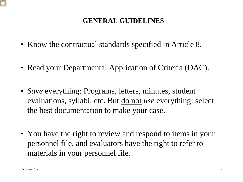#### **GENERAL GUIDELINES**

- Know the contractual standards specified in Article 8.
- Read your Departmental Application of Criteria (DAC).
- *Save* everything: Programs, letters, minutes, student evaluations, syllabi, etc. But do not *use* everything: select the best documentation to make your case.
- You have the right to review and respond to items in your personnel file, and evaluators have the right to refer to materials in your personnel file.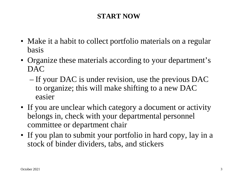## **START NOW**

- Make it a habit to collect portfolio materials on a regular basis
- Organize these materials according to your department's DAC
	- If your DAC is under revision, use the previous DAC to organize; this will make shifting to a new DAC easier
- If you are unclear which category a document or activity belongs in, check with your departmental personnel committee or department chair
- If you plan to submit your portfolio in hard copy, lay in a stock of binder dividers, tabs, and stickers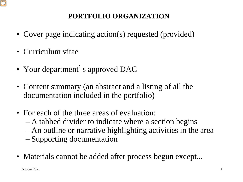

## **PORTFOLIO ORGANIZATION**

- Cover page indicating action(s) requested (provided)
- Curriculum vitae
- Your department's approved DAC
- Content summary (an abstract and a listing of all the documentation included in the portfolio)
- For each of the three areas of evaluation:
	- A tabbed divider to indicate where a section begins
	- An outline or narrative highlighting activities in the area
	- Supporting documentation
- Materials cannot be added after process begun except...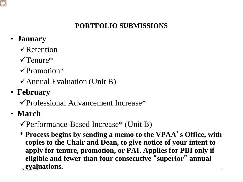## **PORTFOLIO SUBMISSIONS**

# • **January**

- $\sqrt{\text{Retention}}$
- $\sqrt{\text{T}}$ enure\*
- $\sqrt{\text{Promotion}}$ \*
- $\checkmark$  Annual Evaluation (Unit B)
- **February**
	- Professional Advancement Increase\*
- **March**
	- $\checkmark$  Performance-Based Increase\* (Unit B)
	- **evaluations.** \* **Process begins by sending a memo to the VPAA**'**s Office, with copies to the Chair and Dean, to give notice of your intent to apply for tenure, promotion, or PAI. Applies for PBI only if eligible and fewer than four consecutive** "**superior**" **annual**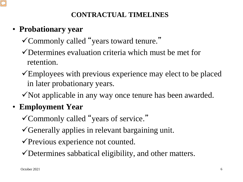## **CONTRACTUAL TIMELINES**

# • **Probationary year**

- Commonly called "years toward tenure."
- Determines evaluation criteria which must be met for retention.
- Employees with previous experience may elect to be placed in later probationary years.
- $\checkmark$  Not applicable in any way once tenure has been awarded.

# • **Employment Year**

- Commonly called "years of service."
- Generally applies in relevant bargaining unit.
- Previous experience not counted.
- Determines sabbatical eligibility, and other matters.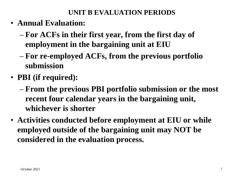#### **UNIT B EVALUATION PERIODS**

- **Annual Evaluation:**
	- **For ACFs in their first year, from the first day of employment in the bargaining unit at EIU**
	- **For re-employed ACFs, from the previous portfolio submission**
- **PBI (if required):**
	- **From the previous PBI portfolio submission or the most recent four calendar years in the bargaining unit, whichever is shorter**
- **Activities conducted before employment at EIU or while employed outside of the bargaining unit may NOT be considered in the evaluation process.**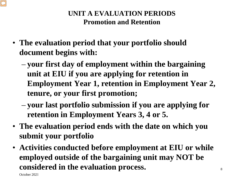#### **UNIT A EVALUATION PERIODS Promotion and Retention**

- **The evaluation period that your portfolio should document begins with:**
	- **your first day of employment within the bargaining unit at EIU if you are applying for retention in Employment Year 1, retention in Employment Year 2, tenure, or your first promotion;**
	- **your last portfolio submission if you are applying for retention in Employment Years 3, 4 or 5.**
- **The evaluation period ends with the date on which you submit your portfolio**
- **Activities conducted before employment at EIU or while employed outside of the bargaining unit may NOT be considered in the evaluation process.**

October 2021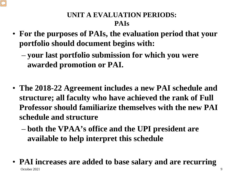## **UNIT A EVALUATION PERIODS: PAIs**

- **For the purposes of PAIs, the evaluation period that your portfolio should document begins with:**
	- **your last portfolio submission for which you were awarded promotion or PAI.**
- **The 2018-22 Agreement includes a new PAI schedule and structure; all faculty who have achieved the rank of Full Professor should familiarize themselves with the new PAI schedule and structure**
	- **both the VPAA's office and the UPI president are available to help interpret this schedule**
- October 2021 9 • **PAI increases are added to base salary and are recurring**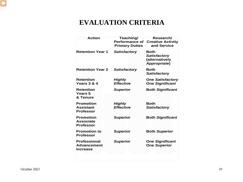

#### **EVALUATION CRITERIA**

| <b>Action</b>                                                | Teaching/<br><b>Performance of</b><br><b>Primary Duties</b> | Research/<br><b>Creative Activity</b><br>and Service                 |
|--------------------------------------------------------------|-------------------------------------------------------------|----------------------------------------------------------------------|
| <b>Retention Year 1</b>                                      | <b>Satisfactory</b>                                         | Both<br><b>Satisfactory</b><br>(alternatively<br><b>Appropriate)</b> |
| <b>Retention Year 2</b>                                      | <b>Satisfactory</b>                                         | Both<br><b>Satisfactory</b>                                          |
| <b>Retention</b><br>Years 3 & 4                              | Highly<br><b>Effective</b>                                  | <b>One Satisfactory</b><br><b>One Significant</b>                    |
| <b>Retention</b><br><b>Years 5</b><br>& Tenure               | <b>Superior</b>                                             | <b>Both Significant</b>                                              |
| <b>Promotion</b><br><b>Assistant</b><br><b>Professor</b>     | Highly<br><b>Effective</b>                                  | <b>Both</b><br>Satisfactory                                          |
| <b>Promotion</b><br><b>Associate</b><br><b>Professor</b>     | <b>Superior</b>                                             | <b>Both Significant</b>                                              |
| <b>Promotion to</b><br><b>Professor</b>                      | <b>Superior</b>                                             | <b>Both Superior</b>                                                 |
| <b>Professional</b><br><b>Advancement</b><br><b>Increase</b> | <b>Superior</b>                                             | <b>One Significant</b><br><b>One Superior</b>                        |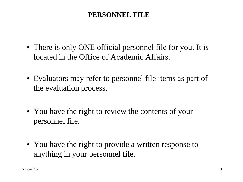#### **PERSONNEL FILE**

- There is only ONE official personnel file for you. It is located in the Office of Academic Affairs.
- Evaluators may refer to personnel file items as part of the evaluation process.
- You have the right to review the contents of your personnel file.
- You have the right to provide a written response to anything in your personnel file.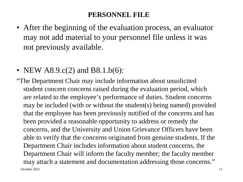#### **PERSONNEL FILE**

- After the beginning of the evaluation process, an evaluator may not add material to your personnel file unless it was not previously available.
- NEW  $A8.9.c(2)$  and  $B8.1.b(6)$ :
- October 2021 12 "The Department Chair may include information about unsolicited student concern concerns raised during the evaluation period, which are related to the employee's performance of duties. Student concerns may be included (with or without the student(s) being named) provided that the employee has been previously notified of the concerns and has been provided a reasonable opportunity to address or remedy the concerns, and the University and Union Grievance Officers have been able to verify that the concerns originated from genuine students. If the Department Chair includes information about student concerns, the Department Chair will inform the faculty member; the faculty member may attach a statement and documentation addressing those concerns."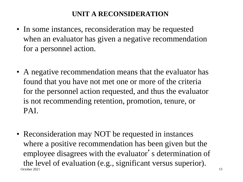#### **UNIT A RECONSIDERATION**

- In some instances, reconsideration may be requested when an evaluator has given a negative recommendation for a personnel action.
- A negative recommendation means that the evaluator has found that you have not met one or more of the criteria for the personnel action requested, and thus the evaluator is not recommending retention, promotion, tenure, or PAI.
- October 2021 13 • Reconsideration may NOT be requested in instances where a positive recommendation has been given but the employee disagrees with the evaluator's determination of the level of evaluation (e.g., significant versus superior).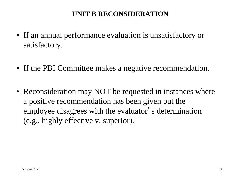#### **UNIT B RECONSIDERATION**

- If an annual performance evaluation is unsatisfactory or satisfactory.
- If the PBI Committee makes a negative recommendation.
- Reconsideration may NOT be requested in instances where a positive recommendation has been given but the employee disagrees with the evaluator's determination (e.g., highly effective v. superior).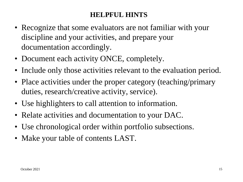#### **HELPFUL HINTS**

- Recognize that some evaluators are not familiar with your discipline and your activities, and prepare your documentation accordingly.
- Document each activity ONCE, completely.
- Include only those activities relevant to the evaluation period.
- Place activities under the proper category (teaching/primary duties, research/creative activity, service).
- Use highlighters to call attention to information.
- Relate activities and documentation to your DAC.
- Use chronological order within portfolio subsections.
- Make your table of contents LAST.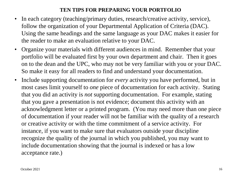#### **TEN TIPS FOR PREPARING YOUR PORTFOLIO**

- In each category (teaching/primary duties, research/creative activity, service), follow the organization of your Departmental Application of Criteria (DAC). Using the same headings and the same language as your DAC makes it easier for the reader to make an evaluation relative to your DAC.
- Organize your materials with different audiences in mind. Remember that your portfolio will be evaluated first by your own department and chair. Then it goes on to the dean and the UPC, who may not be very familiar with you or your DAC. So make it easy for all readers to find and understand your documentation.
- Include supporting documentation for *every* activity you have performed, but in most cases limit yourself to *one* piece of documentation for each activity. Stating that you did an activity is *not* supporting documentation. For example, stating that you gave a presentation is not evidence; document this activity with an acknowledgment letter or a printed program. (You may need more than one piece of documentation if your reader will not be familiar with the quality of a research or creative activity or with the time commitment of a service activity. For instance, if you want to make sure that evaluators outside your discipline recognize the quality of the journal in which you published, you may want to include documentation showing that the journal is indexed or has a low acceptance rate.)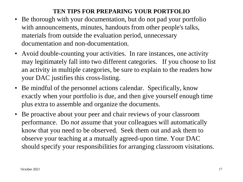#### **TEN TIPS FOR PREPARING YOUR PORTFOLIO**

- Be thorough with your documentation, but do not pad your portfolio with announcements, minutes, handouts from other people's talks, materials from outside the evaluation period, unnecessary documentation and non-documentation.
- Avoid double-counting your activities. In rare instances, one activity may legitimately fall into two different categories. If you choose to list an activity in multiple categories, be sure to explain to the readers how your DAC justifies this cross-listing.
- Be mindful of the personnel actions calendar. Specifically, know exactly when your portfolio is due, and then give yourself enough time plus extra to assemble and organize the documents.
- Be proactive about your peer and chair reviews of your classroom performance. Do *not* assume that your colleagues will automatically know that you need to be observed. Seek them out and ask them to observe your teaching at a mutually agreed-upon time. Your DAC should specify your responsibilities for arranging classroom visitations.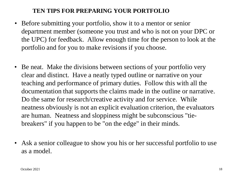#### **TEN TIPS FOR PREPARING YOUR PORTFOLIO**

- Before submitting your portfolio, show it to a mentor or senior department member (someone you trust and who is not on your DPC or the UPC) for feedback. Allow enough time for the person to look at the portfolio and for you to make revisions if you choose.
- Be neat. Make the divisions between sections of your portfolio very clear and distinct. Have a neatly typed outline or narrative on your teaching and performance of primary duties. Follow this with all the documentation that supports the claims made in the outline or narrative. Do the same for research/creative activity and for service. While neatness obviously is not an explicit evaluation criterion, the evaluators are human. Neatness and sloppiness might be subconscious "tiebreakers" if you happen to be "on the edge" in their minds.
- Ask a senior colleague to show you his or her successful portfolio to use as a model.